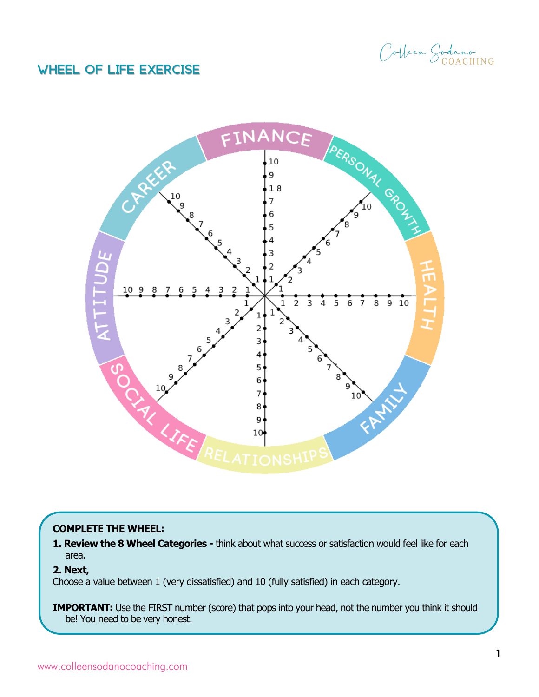Colben Sodano

## Wheel of Life Exercise



## **COMPLETE THE WHEEL:**

**1. Review the 8 Wheel Categories -** think about what success or satisfaction would feel like for each area.

## **2. Next,**

Choose a value between 1 (very dissatisfied) and 10 (fully satisfied) in each category.

**IMPORTANT:** Use the FIRST number (score) that pops into your head, not the number you think it should be! You need to be very honest.